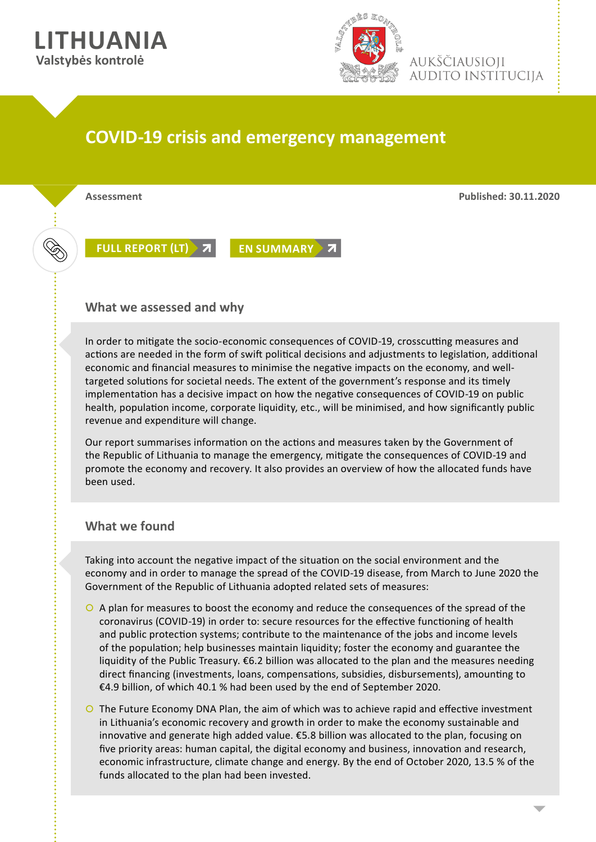



aukščiausioii **AUDITO INSTITUCIJA** 

## **COVID-19 crisis and emergency management**

**Assessment Published: 30.11.2020**

**[FULL REPORT \(LT\)](https://www.vkontrole.lt/failas.aspx?id=4171) 7 [EN SUMMARY](https://www.vkontrole.lt/failas.aspx?id=4180) 7** 

## **What we assessed and why**

In order to mitigate the socio-economic consequences of COVID-19, crosscutting measures and actions are needed in the form of swift political decisions and adjustments to legislation, additional economic and financial measures to minimise the negative impacts on the economy, and welltargeted solutions for societal needs. The extent of the government's response and its timely implementation has a decisive impact on how the negative consequences of COVID-19 on public health, population income, corporate liquidity, etc., will be minimised, and how significantly public revenue and expenditure will change.

Our report summarises information on the actions and measures taken by the Government of the Republic of Lithuania to manage the emergency, mitigate the consequences of COVID-19 and promote the economy and recovery. It also provides an overview of how the allocated funds have been used.

## **What we found**

Taking into account the negative impact of the situation on the social environment and the economy and in order to manage the spread of the COVID-19 disease, from March to June 2020 the Government of the Republic of Lithuania adopted related sets of measures:

- | A plan for measures to boost the economy and reduce the consequences of the spread of the coronavirus (COVID-19) in order to: secure resources for the effective functioning of health and public protection systems; contribute to the maintenance of the jobs and income levels of the population; help businesses maintain liquidity; foster the economy and guarantee the liquidity of the Public Treasury. €6.2 billion was allocated to the plan and the measures needing direct financing (investments, loans, compensations, subsidies, disbursements), amounting to €4.9 billion, of which 40.1 % had been used by the end of September 2020.
- O The Future Economy DNA Plan, the aim of which was to achieve rapid and effective investment in Lithuania's economic recovery and growth in order to make the economy sustainable and innovative and generate high added value. €5.8 billion was allocated to the plan, focusing on five priority areas: human capital, the digital economy and business, innovation and research, economic infrastructure, climate change and energy. By the end of October 2020, 13.5 % of the funds allocated to the plan had been invested.